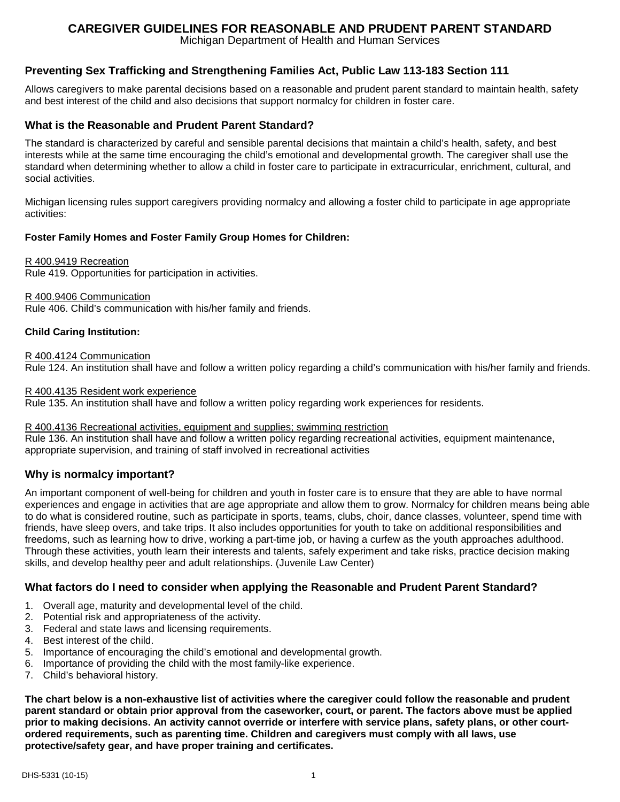# **CAREGIVER GUIDELINES FOR REASONABLE AND PRUDENT PARENT STANDARD**

Michigan Department of Health and Human Services

# **Preventing Sex Trafficking and Strengthening Families Act, Public Law 113-183 Section 111**

Allows caregivers to make parental decisions based on a reasonable and prudent parent standard to maintain health, safety and best interest of the child and also decisions that support normalcy for children in foster care.

# **What is the Reasonable and Prudent Parent Standard?**

The standard is characterized by careful and sensible parental decisions that maintain a child's health, safety, and best interests while at the same time encouraging the child's emotional and developmental growth. The caregiver shall use the standard when determining whether to allow a child in foster care to participate in extracurricular, enrichment, cultural, and social activities.

Michigan licensing rules support caregivers providing normalcy and allowing a foster child to participate in age appropriate activities:

## **Foster Family Homes and Foster Family Group Homes for Children:**

#### R 400.9419 Recreation

Rule 419. Opportunities for participation in activities.

#### R 400.9406 Communication

Rule 406. Child's communication with his/her family and friends.

#### **Child Caring Institution:**

#### R 400.4124 Communication

Rule 124. An institution shall have and follow a written policy regarding a child's communication with his/her family and friends.

#### R 400.4135 Resident work experience

Rule 135. An institution shall have and follow a written policy regarding work experiences for residents.

#### R 400.4136 Recreational activities, equipment and supplies; swimming restriction

Rule 136. An institution shall have and follow a written policy regarding recreational activities, equipment maintenance, appropriate supervision, and training of staff involved in recreational activities

## **Why is normalcy important?**

An important component of well-being for children and youth in foster care is to ensure that they are able to have normal experiences and engage in activities that are age appropriate and allow them to grow. Normalcy for children means being able to do what is considered routine, such as participate in sports, teams, clubs, choir, dance classes, volunteer, spend time with friends, have sleep overs, and take trips. It also includes opportunities for youth to take on additional responsibilities and freedoms, such as learning how to drive, working a part-time job, or having a curfew as the youth approaches adulthood. Through these activities, youth learn their interests and talents, safely experiment and take risks, practice decision making skills, and develop healthy peer and adult relationships. (Juvenile Law Center)

## **What factors do I need to consider when applying the Reasonable and Prudent Parent Standard?**

- 1. Overall age, maturity and developmental level of the child.
- 2. Potential risk and appropriateness of the activity.
- 3. Federal and state laws and licensing requirements.
- 4. Best interest of the child.
- 5. Importance of encouraging the child's emotional and developmental growth.
- 6. Importance of providing the child with the most family-like experience.
- 7. Child's behavioral history.

**The chart below is a non-exhaustive list of activities where the caregiver could follow the reasonable and prudent parent standard or obtain prior approval from the caseworker, court, or parent. The factors above must be applied prior to making decisions. An activity cannot override or interfere with service plans, safety plans, or other courtordered requirements, such as parenting time. Children and caregivers must comply with all laws, use protective/safety gear, and have proper training and certificates.**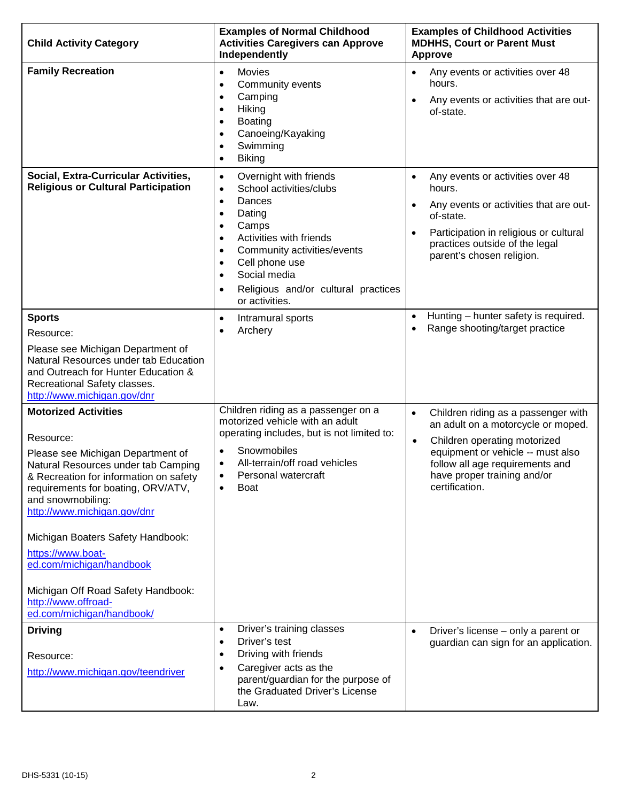| <b>Child Activity Category</b>                                                                                                                                                                                                                                                                                                                                                                                                           | <b>Examples of Normal Childhood</b><br><b>Activities Caregivers can Approve</b><br>Independently                                                                                                                                                                                                                                                                      | <b>Examples of Childhood Activities</b><br><b>MDHHS, Court or Parent Must</b><br><b>Approve</b>                                                                                                                                                              |
|------------------------------------------------------------------------------------------------------------------------------------------------------------------------------------------------------------------------------------------------------------------------------------------------------------------------------------------------------------------------------------------------------------------------------------------|-----------------------------------------------------------------------------------------------------------------------------------------------------------------------------------------------------------------------------------------------------------------------------------------------------------------------------------------------------------------------|--------------------------------------------------------------------------------------------------------------------------------------------------------------------------------------------------------------------------------------------------------------|
| <b>Family Recreation</b>                                                                                                                                                                                                                                                                                                                                                                                                                 | Movies<br>$\bullet$<br>Community events<br>$\bullet$<br>Camping<br>$\bullet$<br>Hiking<br>$\bullet$<br><b>Boating</b><br>$\bullet$<br>Canoeing/Kayaking<br>$\bullet$<br>Swimming<br>$\bullet$<br><b>Biking</b><br>$\bullet$                                                                                                                                           | Any events or activities over 48<br>$\bullet$<br>hours.<br>Any events or activities that are out-<br>$\bullet$<br>of-state.                                                                                                                                  |
| Social, Extra-Curricular Activities,<br><b>Religious or Cultural Participation</b>                                                                                                                                                                                                                                                                                                                                                       | Overnight with friends<br>$\bullet$<br>School activities/clubs<br>$\bullet$<br>Dances<br>$\bullet$<br>Dating<br>$\bullet$<br>Camps<br>$\bullet$<br>Activities with friends<br>$\bullet$<br>Community activities/events<br>$\bullet$<br>Cell phone use<br>$\bullet$<br>Social media<br>$\bullet$<br>Religious and/or cultural practices<br>$\bullet$<br>or activities. | Any events or activities over 48<br>$\bullet$<br>hours.<br>Any events or activities that are out-<br>$\bullet$<br>of-state.<br>Participation in religious or cultural<br>$\bullet$<br>practices outside of the legal<br>parent's chosen religion.            |
| <b>Sports</b><br>Resource:<br>Please see Michigan Department of<br>Natural Resources under tab Education<br>and Outreach for Hunter Education &<br>Recreational Safety classes.<br>http://www.michigan.gov/dnr                                                                                                                                                                                                                           | Intramural sports<br>$\bullet$<br>Archery<br>$\bullet$                                                                                                                                                                                                                                                                                                                | Hunting - hunter safety is required.<br>$\bullet$<br>Range shooting/target practice<br>$\bullet$                                                                                                                                                             |
| <b>Motorized Activities</b><br>Resource:<br>Please see Michigan Department of<br>Natural Resources under tab Camping<br>& Recreation for information on safety<br>requirements for boating, ORV/ATV,<br>and snowmobiling:<br>http://www.michigan.gov/dnr<br>Michigan Boaters Safety Handbook:<br>https://www.boat-<br>ed.com/michigan/handbook<br>Michigan Off Road Safety Handbook:<br>http://www.offroad-<br>ed.com/michigan/handbook/ | Children riding as a passenger on a<br>motorized vehicle with an adult<br>operating includes, but is not limited to:<br>Snowmobiles<br>$\bullet$<br>All-terrain/off road vehicles<br>$\bullet$<br>Personal watercraft<br>٠<br><b>Boat</b><br>$\bullet$                                                                                                                | Children riding as a passenger with<br>$\bullet$<br>an adult on a motorcycle or moped.<br>Children operating motorized<br>$\bullet$<br>equipment or vehicle -- must also<br>follow all age requirements and<br>have proper training and/or<br>certification. |
| <b>Driving</b><br>Resource:<br>http://www.michigan.gov/teendriver                                                                                                                                                                                                                                                                                                                                                                        | Driver's training classes<br>$\bullet$<br>Driver's test<br>$\bullet$<br>Driving with friends<br>$\bullet$<br>Caregiver acts as the<br>$\bullet$<br>parent/guardian for the purpose of<br>the Graduated Driver's License<br>Law.                                                                                                                                       | Driver's license - only a parent or<br>$\bullet$<br>guardian can sign for an application.                                                                                                                                                                    |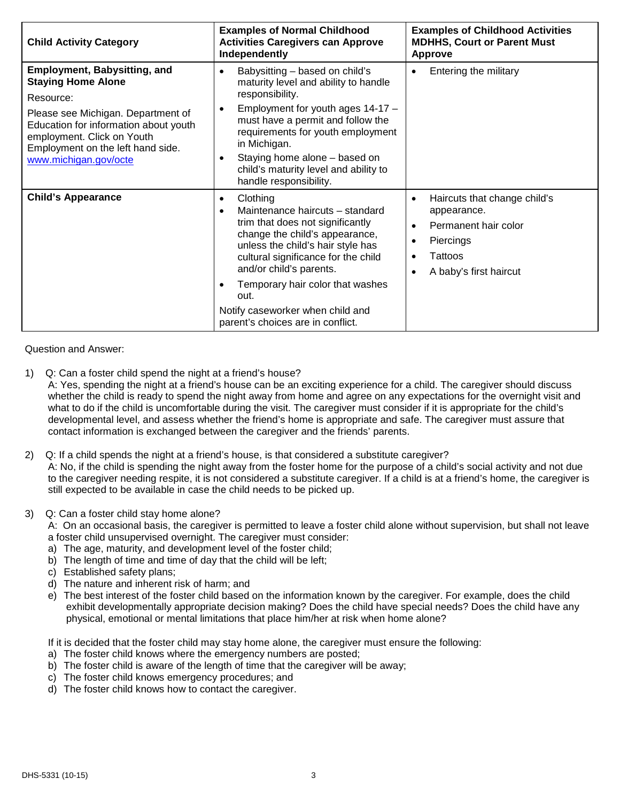| <b>Child Activity Category</b>                                                                                                                                                                                                                           | <b>Examples of Normal Childhood</b><br><b>Activities Caregivers can Approve</b><br>Independently                                                                                                                                                                                                                                                                        | <b>Examples of Childhood Activities</b><br><b>MDHHS, Court or Parent Must</b><br>Approve                                                                                       |
|----------------------------------------------------------------------------------------------------------------------------------------------------------------------------------------------------------------------------------------------------------|-------------------------------------------------------------------------------------------------------------------------------------------------------------------------------------------------------------------------------------------------------------------------------------------------------------------------------------------------------------------------|--------------------------------------------------------------------------------------------------------------------------------------------------------------------------------|
| <b>Employment, Babysitting, and</b><br><b>Staying Home Alone</b><br>Resource:<br>Please see Michigan. Department of<br>Education for information about youth<br>employment. Click on Youth<br>Employment on the left hand side.<br>www.michigan.gov/octe | Babysitting - based on child's<br>$\bullet$<br>maturity level and ability to handle<br>responsibility.<br>Employment for youth ages 14-17 -<br>$\bullet$<br>must have a permit and follow the<br>requirements for youth employment<br>in Michigan.<br>Staying home alone - based on<br>child's maturity level and ability to<br>handle responsibility.                  | Entering the military<br>$\bullet$                                                                                                                                             |
| <b>Child's Appearance</b>                                                                                                                                                                                                                                | Clothing<br>$\bullet$<br>Maintenance haircuts - standard<br>$\bullet$<br>trim that does not significantly<br>change the child's appearance,<br>unless the child's hair style has<br>cultural significance for the child<br>and/or child's parents.<br>Temporary hair color that washes<br>out.<br>Notify caseworker when child and<br>parent's choices are in conflict. | Haircuts that change child's<br>$\bullet$<br>appearance.<br>Permanent hair color<br>$\bullet$<br>Piercings<br>$\bullet$<br>Tattoos<br>٠<br>A baby's first haircut<br>$\bullet$ |

Question and Answer:

1) Q: Can a foster child spend the night at a friend's house?

A: Yes, spending the night at a friend's house can be an exciting experience for a child. The caregiver should discuss whether the child is ready to spend the night away from home and agree on any expectations for the overnight visit and what to do if the child is uncomfortable during the visit. The caregiver must consider if it is appropriate for the child's developmental level, and assess whether the friend's home is appropriate and safe. The caregiver must assure that contact information is exchanged between the caregiver and the friends' parents.

2) Q: If a child spends the night at a friend's house, is that considered a substitute caregiver?

A: No, if the child is spending the night away from the foster home for the purpose of a child's social activity and not due to the caregiver needing respite, it is not considered a substitute caregiver. If a child is at a friend's home, the caregiver is still expected to be available in case the child needs to be picked up.

3) Q: Can a foster child stay home alone?

A: On an occasional basis, the caregiver is permitted to leave a foster child alone without supervision, but shall not leave a foster child unsupervised overnight. The caregiver must consider:

- a) The age, maturity, and development level of the foster child;
- b) The length of time and time of day that the child will be left;
- c) Established safety plans;
- d) The nature and inherent risk of harm; and
- e) The best interest of the foster child based on the information known by the caregiver. For example, does the child exhibit developmentally appropriate decision making? Does the child have special needs? Does the child have any physical, emotional or mental limitations that place him/her at risk when home alone?

If it is decided that the foster child may stay home alone, the caregiver must ensure the following:

- a) The foster child knows where the emergency numbers are posted;
- b) The foster child is aware of the length of time that the caregiver will be away;
- c) The foster child knows emergency procedures; and
- d) The foster child knows how to contact the caregiver.